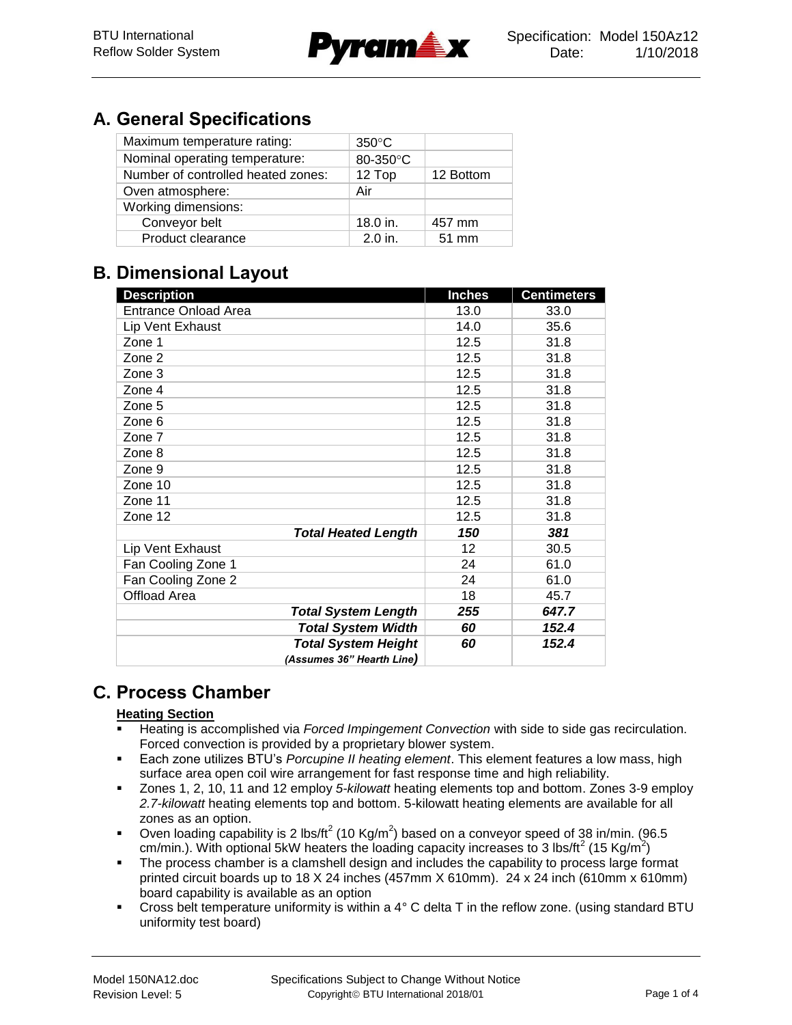

# **A. General Specifications**

| Maximum temperature rating:        | $350^{\circ}$ C |                 |
|------------------------------------|-----------------|-----------------|
| Nominal operating temperature:     | 80-350°C        |                 |
| Number of controlled heated zones: | 12 Top          | 12 Bottom       |
| Oven atmosphere:                   | Air             |                 |
| Working dimensions:                |                 |                 |
| Conveyor belt                      | $18.0$ in.      | 457 mm          |
| Product clearance                  | $2.0$ in.       | $51 \text{ mm}$ |

## **B. Dimensional Layout**

| <b>Description</b>          | <b>Inches</b> | <b>Centimeters</b> |
|-----------------------------|---------------|--------------------|
| <b>Entrance Onload Area</b> | 13.0          | 33.0               |
| Lip Vent Exhaust            | 14.0          | 35.6               |
| Zone 1                      | 12.5          | 31.8               |
| Zone 2                      | 12.5          | 31.8               |
| Zone 3                      | 12.5          | 31.8               |
| Zone 4                      | 12.5          | 31.8               |
| Zone 5                      | 12.5          | 31.8               |
| Zone 6                      | 12.5          | 31.8               |
| Zone 7                      | 12.5          | 31.8               |
| Zone 8                      | 12.5          | 31.8               |
| Zone 9                      | 12.5          | 31.8               |
| Zone 10                     | 12.5          | 31.8               |
| Zone 11                     | 12.5          | 31.8               |
| Zone 12                     | 12.5          | 31.8               |
| <b>Total Heated Length</b>  | 150           | 381                |
| Lip Vent Exhaust            | 12            | 30.5               |
| Fan Cooling Zone 1          | 24            | 61.0               |
| Fan Cooling Zone 2          | 24            | 61.0               |
| Offload Area                | 18            | 45.7               |
| <b>Total System Length</b>  | 255           | 647.7              |
| <b>Total System Width</b>   | 60            | 152.4              |
| <b>Total System Height</b>  | 60            | 152.4              |
| (Assumes 36" Hearth Line)   |               |                    |

# **C. Process Chamber**

#### **Heating Section**

- Heating is accomplished via *Forced Impingement Convection* with side to side gas recirculation. Forced convection is provided by a proprietary blower system.
- Each zone utilizes BTU's *Porcupine II heating element*. This element features a low mass, high surface area open coil wire arrangement for fast response time and high reliability.
- Zones 1, 2, 10, 11 and 12 employ *5-kilowatt* heating elements top and bottom. Zones 3-9 employ *2.7-kilowatt* heating elements top and bottom. 5-kilowatt heating elements are available for all zones as an option.
- Oven loading capability is 2 lbs/ft<sup>2</sup> (10 Kg/m<sup>2</sup>) based on a conveyor speed of 38 in/min. (96.5 cm/min.). With optional 5kW heaters the loading capacity increases to 3 lbs/ft<sup>2</sup> (15 Kg/m<sup>2</sup>)
- **The process chamber is a clamshell design and includes the capability to process large format** printed circuit boards up to 18 X 24 inches (457mm X 610mm). 24 x 24 inch (610mm x 610mm) board capability is available as an option
- Cross belt temperature uniformity is within a  $4^{\circ}$  C delta T in the reflow zone. (using standard BTU uniformity test board)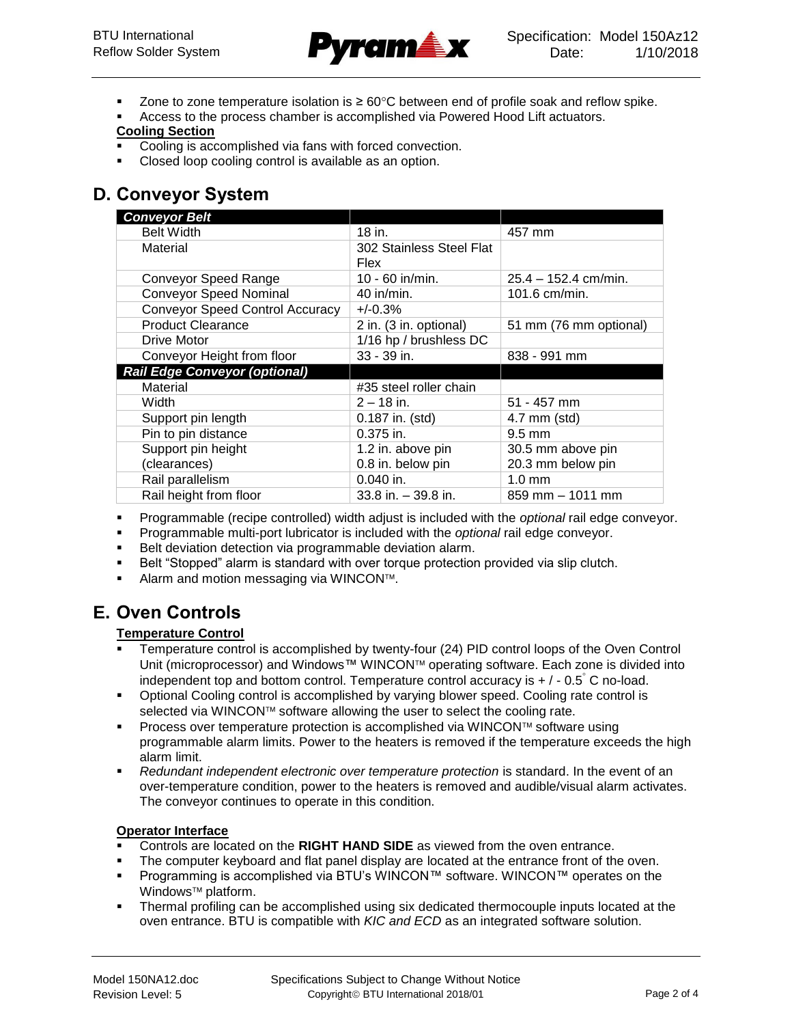

- Zone to zone temperature isolation is  $\geq 60^{\circ}$ C between end of profile soak and reflow spike.
- Access to the process chamber is accomplished via Powered Hood Lift actuators.

#### **Cooling Section**

- Cooling is accomplished via fans with forced convection.
- Closed loop cooling control is available as an option.

## **D. Conveyor System**

| <b>Conveyor Belt</b>                   |                          |                        |
|----------------------------------------|--------------------------|------------------------|
| <b>Belt Width</b>                      | 18 in.                   | 457 mm                 |
| Material                               | 302 Stainless Steel Flat |                        |
|                                        | <b>Flex</b>              |                        |
| <b>Conveyor Speed Range</b>            | 10 - 60 in/min.          | 25.4 - 152.4 cm/min.   |
| <b>Conveyor Speed Nominal</b>          | $40$ in/min.             | 101.6 cm/min.          |
| <b>Conveyor Speed Control Accuracy</b> | $+/-0.3%$                |                        |
| <b>Product Clearance</b>               | 2 in. (3 in. optional)   | 51 mm (76 mm optional) |
| Drive Motor                            | 1/16 hp / brushless DC   |                        |
| Conveyor Height from floor             | 33 - 39 in.              | 838 - 991 mm           |
| <b>Rail Edge Conveyor (optional)</b>   |                          |                        |
| Material                               | #35 steel roller chain   |                        |
| Width                                  | $2 - 18$ in.             | $51 - 457$ mm          |
| Support pin length                     | 0.187 in. (std)          | $4.7$ mm (std)         |
| Pin to pin distance                    | $0.375$ in.              | $9.5 \text{ mm}$       |
| Support pin height                     | 1.2 in. above pin        | 30.5 mm above pin      |
| (clearances)                           | 0.8 in. below pin        | 20.3 mm below pin      |
| Rail parallelism                       | $0.040$ in.              | $1.0 \text{ mm}$       |
| Rail height from floor                 | $33.8$ in. $-39.8$ in.   | $859$ mm $-1011$ mm    |

- Programmable (recipe controlled) width adjust is included with the *optional* rail edge conveyor.
- Programmable multi-port lubricator is included with the *optional* rail edge conveyor.
- **Belt deviation detection via programmable deviation alarm.**
- **Belt "Stopped" alarm is standard with over torque protection provided via slip clutch.**
- Alarm and motion messaging via WINCON™.

## **E. Oven Controls**

#### **Temperature Control**

- Temperature control is accomplished by twenty-four (24) PID control loops of the Oven Control Unit (microprocessor) and Windows™ WINCON™ operating software. Each zone is divided into independent top and bottom control. Temperature control accuracy is  $+/-0.5$ °C no-load.
- Optional Cooling control is accomplished by varying blower speed. Cooling rate control is selected via WINCON™ software allowing the user to select the cooling rate.
- Process over temperature protection is accomplished via WINCON $\mathbb{N}$  software using programmable alarm limits. Power to the heaters is removed if the temperature exceeds the high alarm limit.
- *Redundant independent electronic over temperature protection* is standard. In the event of an over-temperature condition, power to the heaters is removed and audible/visual alarm activates. The conveyor continues to operate in this condition.

#### **Operator Interface**

- Controls are located on the **RIGHT HAND SIDE** as viewed from the oven entrance.
- The computer keyboard and flat panel display are located at the entrance front of the oven.
- Programming is accomplished via BTU's WINCON™ software. WINCON™ operates on the Windows<sup>™</sup> platform.
- Thermal profiling can be accomplished using six dedicated thermocouple inputs located at the oven entrance. BTU is compatible with *KIC and ECD* as an integrated software solution.